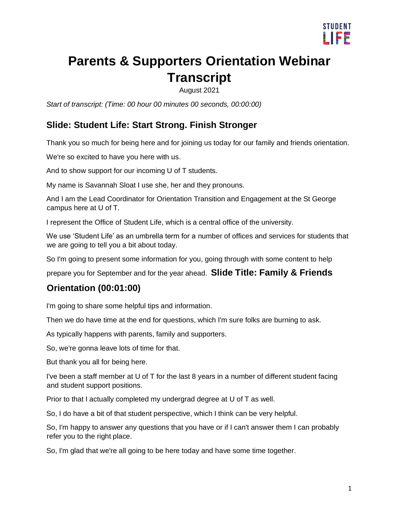

# **Parents & Supporters Orientation Webinar Transcript**

August 2021

*Start of transcript: (Time: 00 hour 00 minutes 00 seconds, 00:00:00)* 

#### **Slide: Student Life: Start Strong. Finish Stronger**

Thank you so much for being here and for joining us today for our family and friends orientation.

We're so excited to have you here with us.

And to show support for our incoming U of T students.

My name is Savannah Sloat I use she, her and they pronouns.

And I am the Lead Coordinator for Orientation Transition and Engagement at the St George campus here at U of T.

I represent the Office of Student Life, which is a central office of the university.

We use 'Student Life' as an umbrella term for a number of offices and services for students that we are going to tell you a bit about today.

So I'm going to present some information for you, going through with some content to help

prepare you for September and for the year ahead. **Slide Title: Family & Friends** 

#### **Orientation (00:01:00)**

I'm going to share some helpful tips and information.

Then we do have time at the end for questions, which I'm sure folks are burning to ask.

As typically happens with parents, family and supporters.

So, we're gonna leave lots of time for that.

But thank you all for being here.

I've been a staff member at U of T for the last 8 years in a number of different student facing and student support positions.

Prior to that I actually completed my undergrad degree at U of T as well.

So, I do have a bit of that student perspective, which I think can be very helpful.

So, I'm happy to answer any questions that you have or if I can't answer them I can probably refer you to the right place.

So, I'm glad that we're all going to be here today and have some time together.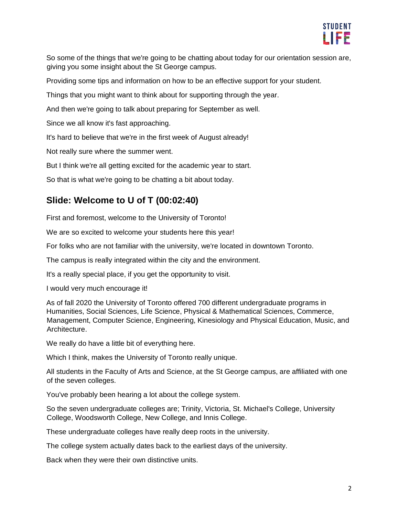

So some of the things that we're going to be chatting about today for our orientation session are, giving you some insight about the St George campus.

Providing some tips and information on how to be an effective support for your student.

Things that you might want to think about for supporting through the year.

And then we're going to talk about preparing for September as well.

Since we all know it's fast approaching.

It's hard to believe that we're in the first week of August already!

Not really sure where the summer went.

But I think we're all getting excited for the academic year to start.

So that is what we're going to be chatting a bit about today.

#### **Slide: Welcome to U of T (00:02:40)**

First and foremost, welcome to the University of Toronto!

We are so excited to welcome your students here this year!

For folks who are not familiar with the university, we're located in downtown Toronto.

The campus is really integrated within the city and the environment.

It's a really special place, if you get the opportunity to visit.

I would very much encourage it!

As of fall 2020 the University of Toronto offered 700 different undergraduate programs in Humanities, Social Sciences, Life Science, Physical & Mathematical Sciences, Commerce, Management, Computer Science, Engineering, Kinesiology and Physical Education, Music, and Architecture.

We really do have a little bit of everything here.

Which I think, makes the University of Toronto really unique.

All students in the Faculty of Arts and Science, at the St George campus, are affiliated with one of the seven colleges.

You've probably been hearing a lot about the college system.

So the seven undergraduate colleges are; Trinity, Victoria, St. Michael's College, University College, Woodsworth College, New College, and Innis College.

These undergraduate colleges have really deep roots in the university.

The college system actually dates back to the earliest days of the university.

Back when they were their own distinctive units.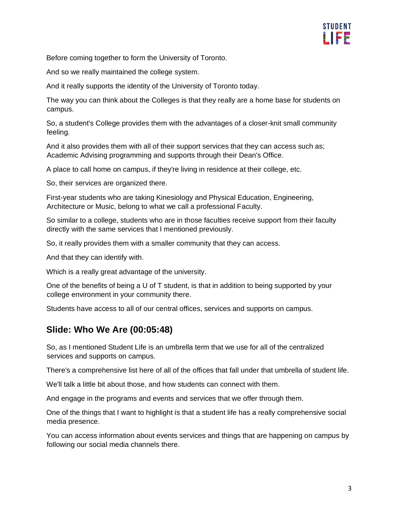

Before coming together to form the University of Toronto.

And so we really maintained the college system.

And it really supports the identity of the University of Toronto today.

The way you can think about the Colleges is that they really are a home base for students on campus.

So, a student's College provides them with the advantages of a closer-knit small community feeling.

And it also provides them with all of their support services that they can access such as; Academic Advising programming and supports through their Dean's Office.

A place to call home on campus, if they're living in residence at their college, etc.

So, their services are organized there.

First-year students who are taking Kinesiology and Physical Education, Engineering, Architecture or Music, belong to what we call a professional Faculty.

So similar to a college, students who are in those faculties receive support from their faculty directly with the same services that I mentioned previously.

So, it really provides them with a smaller community that they can access.

And that they can identify with.

Which is a really great advantage of the university.

One of the benefits of being a U of T student, is that in addition to being supported by your college environment in your community there.

Students have access to all of our central offices, services and supports on campus.

#### **Slide: Who We Are (00:05:48)**

So, as I mentioned Student Life is an umbrella term that we use for all of the centralized services and supports on campus.

There's a comprehensive list here of all of the offices that fall under that umbrella of student life.

We'll talk a little bit about those, and how students can connect with them.

And engage in the programs and events and services that we offer through them.

One of the things that I want to highlight is that a student life has a really comprehensive social media presence.

You can access information about events services and things that are happening on campus by following our social media channels there.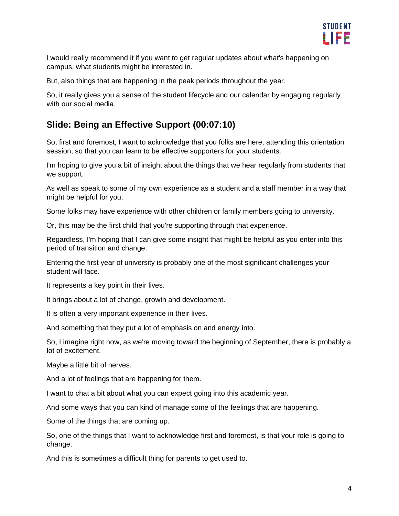

I would really recommend it if you want to get regular updates about what's happening on campus, what students might be interested in.

But, also things that are happening in the peak periods throughout the year.

So, it really gives you a sense of the student lifecycle and our calendar by engaging regularly with our social media.

#### **Slide: Being an Effective Support (00:07:10)**

So, first and foremost, I want to acknowledge that you folks are here, attending this orientation session, so that you can learn to be effective supporters for your students.

I'm hoping to give you a bit of insight about the things that we hear regularly from students that we support.

As well as speak to some of my own experience as a student and a staff member in a way that might be helpful for you.

Some folks may have experience with other children or family members going to university.

Or, this may be the first child that you're supporting through that experience.

Regardless, I'm hoping that I can give some insight that might be helpful as you enter into this period of transition and change.

Entering the first year of university is probably one of the most significant challenges your student will face.

It represents a key point in their lives.

It brings about a lot of change, growth and development.

It is often a very important experience in their lives.

And something that they put a lot of emphasis on and energy into.

So, I imagine right now, as we're moving toward the beginning of September, there is probably a lot of excitement.

Maybe a little bit of nerves.

And a lot of feelings that are happening for them.

I want to chat a bit about what you can expect going into this academic year.

And some ways that you can kind of manage some of the feelings that are happening.

Some of the things that are coming up.

So, one of the things that I want to acknowledge first and foremost, is that your role is going to change.

And this is sometimes a difficult thing for parents to get used to.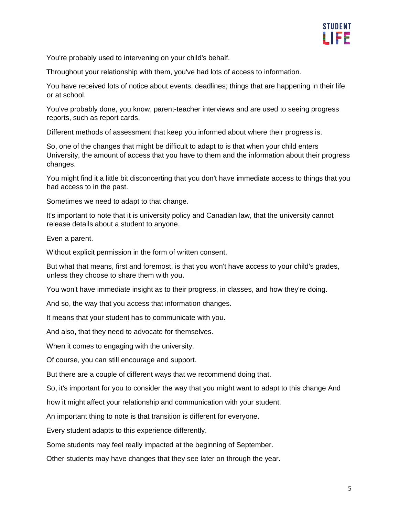

You're probably used to intervening on your child's behalf.

Throughout your relationship with them, you've had lots of access to information.

You have received lots of notice about events, deadlines; things that are happening in their life or at school.

You've probably done, you know, parent-teacher interviews and are used to seeing progress reports, such as report cards.

Different methods of assessment that keep you informed about where their progress is.

So, one of the changes that might be difficult to adapt to is that when your child enters University, the amount of access that you have to them and the information about their progress changes.

You might find it a little bit disconcerting that you don't have immediate access to things that you had access to in the past.

Sometimes we need to adapt to that change.

It's important to note that it is university policy and Canadian law, that the university cannot release details about a student to anyone.

Even a parent.

Without explicit permission in the form of written consent.

But what that means, first and foremost, is that you won't have access to your child's grades, unless they choose to share them with you.

You won't have immediate insight as to their progress, in classes, and how they're doing.

And so, the way that you access that information changes.

It means that your student has to communicate with you.

And also, that they need to advocate for themselves.

When it comes to engaging with the university.

Of course, you can still encourage and support.

But there are a couple of different ways that we recommend doing that.

So, it's important for you to consider the way that you might want to adapt to this change And

how it might affect your relationship and communication with your student.

An important thing to note is that transition is different for everyone.

Every student adapts to this experience differently.

Some students may feel really impacted at the beginning of September.

Other students may have changes that they see later on through the year.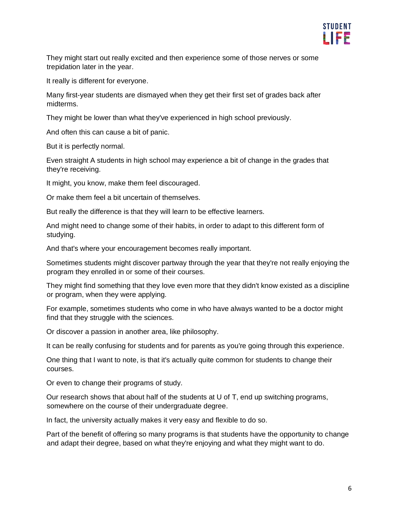

They might start out really excited and then experience some of those nerves or some trepidation later in the year.

It really is different for everyone.

Many first-year students are dismayed when they get their first set of grades back after midterms.

They might be lower than what they've experienced in high school previously.

And often this can cause a bit of panic.

But it is perfectly normal.

Even straight A students in high school may experience a bit of change in the grades that they're receiving.

It might, you know, make them feel discouraged.

Or make them feel a bit uncertain of themselves.

But really the difference is that they will learn to be effective learners.

And might need to change some of their habits, in order to adapt to this different form of studying.

And that's where your encouragement becomes really important.

Sometimes students might discover partway through the year that they're not really enjoying the program they enrolled in or some of their courses.

They might find something that they love even more that they didn't know existed as a discipline or program, when they were applying.

For example, sometimes students who come in who have always wanted to be a doctor might find that they struggle with the sciences.

Or discover a passion in another area, like philosophy.

It can be really confusing for students and for parents as you're going through this experience.

One thing that I want to note, is that it's actually quite common for students to change their courses.

Or even to change their programs of study.

Our research shows that about half of the students at U of T, end up switching programs, somewhere on the course of their undergraduate degree.

In fact, the university actually makes it very easy and flexible to do so.

Part of the benefit of offering so many programs is that students have the opportunity to change and adapt their degree, based on what they're enjoying and what they might want to do.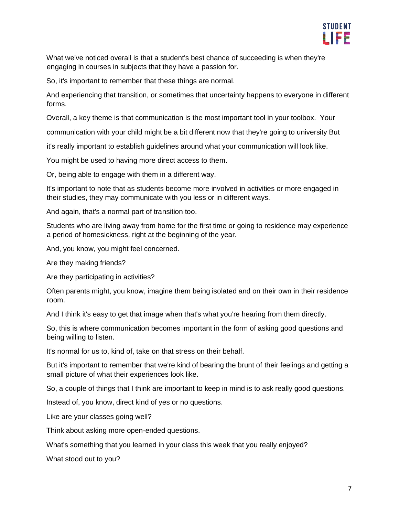

What we've noticed overall is that a student's best chance of succeeding is when they're engaging in courses in subjects that they have a passion for.

So, it's important to remember that these things are normal.

And experiencing that transition, or sometimes that uncertainty happens to everyone in different forms.

Overall, a key theme is that communication is the most important tool in your toolbox. Your

communication with your child might be a bit different now that they're going to university But

it's really important to establish guidelines around what your communication will look like.

You might be used to having more direct access to them.

Or, being able to engage with them in a different way.

It's important to note that as students become more involved in activities or more engaged in their studies, they may communicate with you less or in different ways.

And again, that's a normal part of transition too.

Students who are living away from home for the first time or going to residence may experience a period of homesickness, right at the beginning of the year.

And, you know, you might feel concerned.

Are they making friends?

Are they participating in activities?

Often parents might, you know, imagine them being isolated and on their own in their residence room.

And I think it's easy to get that image when that's what you're hearing from them directly.

So, this is where communication becomes important in the form of asking good questions and being willing to listen.

It's normal for us to, kind of, take on that stress on their behalf.

But it's important to remember that we're kind of bearing the brunt of their feelings and getting a small picture of what their experiences look like.

So, a couple of things that I think are important to keep in mind is to ask really good questions.

Instead of, you know, direct kind of yes or no questions.

Like are your classes going well?

Think about asking more open-ended questions.

What's something that you learned in your class this week that you really enjoyed?

What stood out to you?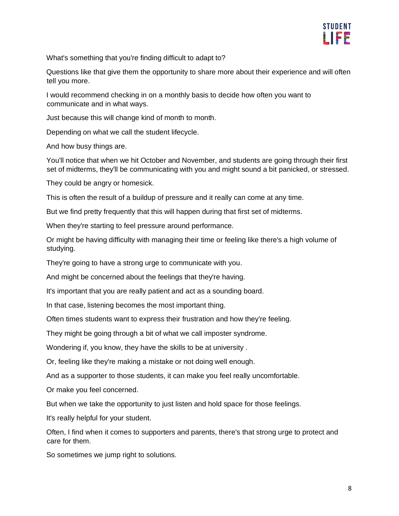

What's something that you're finding difficult to adapt to?

Questions like that give them the opportunity to share more about their experience and will often tell you more.

I would recommend checking in on a monthly basis to decide how often you want to communicate and in what ways.

Just because this will change kind of month to month.

Depending on what we call the student lifecycle.

And how busy things are.

You'll notice that when we hit October and November, and students are going through their first set of midterms, they'll be communicating with you and might sound a bit panicked, or stressed.

They could be angry or homesick.

This is often the result of a buildup of pressure and it really can come at any time.

But we find pretty frequently that this will happen during that first set of midterms.

When they're starting to feel pressure around performance.

Or might be having difficulty with managing their time or feeling like there's a high volume of studying.

They're going to have a strong urge to communicate with you.

And might be concerned about the feelings that they're having.

It's important that you are really patient and act as a sounding board.

In that case, listening becomes the most important thing.

Often times students want to express their frustration and how they're feeling.

They might be going through a bit of what we call imposter syndrome.

Wondering if, you know, they have the skills to be at university .

Or, feeling like they're making a mistake or not doing well enough.

And as a supporter to those students, it can make you feel really uncomfortable.

Or make you feel concerned.

But when we take the opportunity to just listen and hold space for those feelings.

It's really helpful for your student.

Often, I find when it comes to supporters and parents, there's that strong urge to protect and care for them.

So sometimes we jump right to solutions.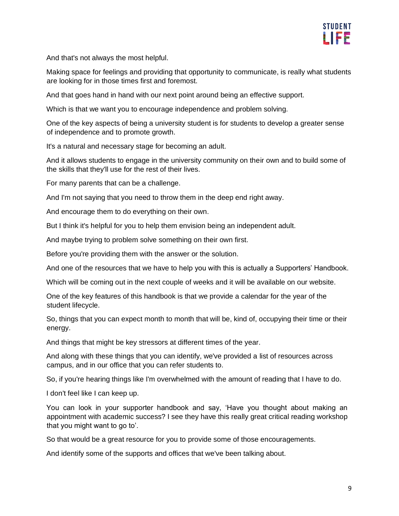

And that's not always the most helpful.

Making space for feelings and providing that opportunity to communicate, is really what students are looking for in those times first and foremost.

And that goes hand in hand with our next point around being an effective support.

Which is that we want you to encourage independence and problem solving.

One of the key aspects of being a university student is for students to develop a greater sense of independence and to promote growth.

It's a natural and necessary stage for becoming an adult.

And it allows students to engage in the university community on their own and to build some of the skills that they'll use for the rest of their lives.

For many parents that can be a challenge.

And I'm not saying that you need to throw them in the deep end right away.

And encourage them to do everything on their own.

But I think it's helpful for you to help them envision being an independent adult.

And maybe trying to problem solve something on their own first.

Before you're providing them with the answer or the solution.

And one of the resources that we have to help you with this is actually a Supporters' Handbook.

Which will be coming out in the next couple of weeks and it will be available on our website.

One of the key features of this handbook is that we provide a calendar for the year of the student lifecycle.

So, things that you can expect month to month that will be, kind of, occupying their time or their energy.

And things that might be key stressors at different times of the year.

And along with these things that you can identify, we've provided a list of resources across campus, and in our office that you can refer students to.

So, if you're hearing things like I'm overwhelmed with the amount of reading that I have to do.

I don't feel like I can keep up.

You can look in your supporter handbook and say, 'Have you thought about making an appointment with academic success? I see they have this really great critical reading workshop that you might want to go to'.

So that would be a great resource for you to provide some of those encouragements.

And identify some of the supports and offices that we've been talking about.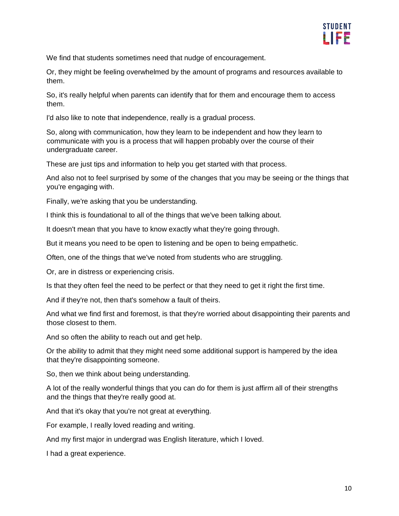

We find that students sometimes need that nudge of encouragement.

Or, they might be feeling overwhelmed by the amount of programs and resources available to them.

So, it's really helpful when parents can identify that for them and encourage them to access them.

I'd also like to note that independence, really is a gradual process.

So, along with communication, how they learn to be independent and how they learn to communicate with you is a process that will happen probably over the course of their undergraduate career.

These are just tips and information to help you get started with that process.

And also not to feel surprised by some of the changes that you may be seeing or the things that you're engaging with.

Finally, we're asking that you be understanding.

I think this is foundational to all of the things that we've been talking about.

It doesn't mean that you have to know exactly what they're going through.

But it means you need to be open to listening and be open to being empathetic.

Often, one of the things that we've noted from students who are struggling.

Or, are in distress or experiencing crisis.

Is that they often feel the need to be perfect or that they need to get it right the first time.

And if they're not, then that's somehow a fault of theirs.

And what we find first and foremost, is that they're worried about disappointing their parents and those closest to them.

And so often the ability to reach out and get help.

Or the ability to admit that they might need some additional support is hampered by the idea that they're disappointing someone.

So, then we think about being understanding.

A lot of the really wonderful things that you can do for them is just affirm all of their strengths and the things that they're really good at.

And that it's okay that you're not great at everything.

For example, I really loved reading and writing.

And my first major in undergrad was English literature, which I loved.

I had a great experience.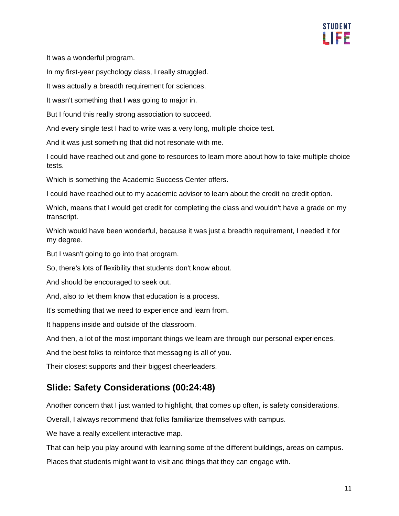

It was a wonderful program.

In my first-year psychology class, I really struggled.

It was actually a breadth requirement for sciences.

It wasn't something that I was going to major in.

But I found this really strong association to succeed.

And every single test I had to write was a very long, multiple choice test.

And it was just something that did not resonate with me.

I could have reached out and gone to resources to learn more about how to take multiple choice tests.

Which is something the Academic Success Center offers.

I could have reached out to my academic advisor to learn about the credit no credit option.

Which, means that I would get credit for completing the class and wouldn't have a grade on my transcript.

Which would have been wonderful, because it was just a breadth requirement, I needed it for my degree.

But I wasn't going to go into that program.

So, there's lots of flexibility that students don't know about.

And should be encouraged to seek out.

And, also to let them know that education is a process.

It's something that we need to experience and learn from.

It happens inside and outside of the classroom.

And then, a lot of the most important things we learn are through our personal experiences.

And the best folks to reinforce that messaging is all of you.

Their closest supports and their biggest cheerleaders.

#### **Slide: Safety Considerations (00:24:48)**

Another concern that I just wanted to highlight, that comes up often, is safety considerations.

Overall, I always recommend that folks familiarize themselves with campus.

We have a really excellent interactive map.

That can help you play around with learning some of the different buildings, areas on campus.

Places that students might want to visit and things that they can engage with.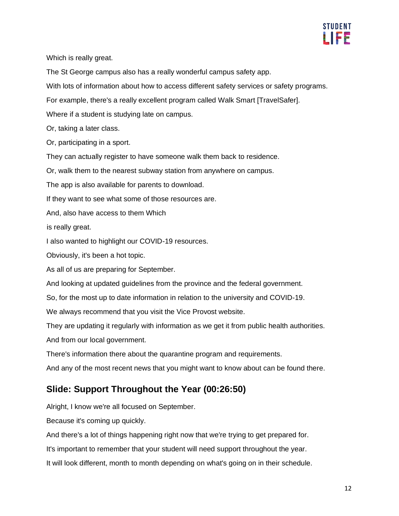

Which is really great.

The St George campus also has a really wonderful campus safety app.

With lots of information about how to access different safety services or safety programs.

For example, there's a really excellent program called Walk Smart [TravelSafer].

Where if a student is studying late on campus.

Or, taking a later class.

Or, participating in a sport.

They can actually register to have someone walk them back to residence.

Or, walk them to the nearest subway station from anywhere on campus.

The app is also available for parents to download.

If they want to see what some of those resources are.

And, also have access to them Which

is really great.

I also wanted to highlight our COVID-19 resources.

Obviously, it's been a hot topic.

As all of us are preparing for September.

And looking at updated guidelines from the province and the federal government.

So, for the most up to date information in relation to the university and COVID-19.

We always recommend that you visit the Vice Provost website.

They are updating it regularly with information as we get it from public health authorities.

And from our local government.

There's information there about the quarantine program and requirements.

And any of the most recent news that you might want to know about can be found there.

## **Slide: Support Throughout the Year (00:26:50)**

Alright, I know we're all focused on September.

Because it's coming up quickly.

And there's a lot of things happening right now that we're trying to get prepared for.

It's important to remember that your student will need support throughout the year.

It will look different, month to month depending on what's going on in their schedule.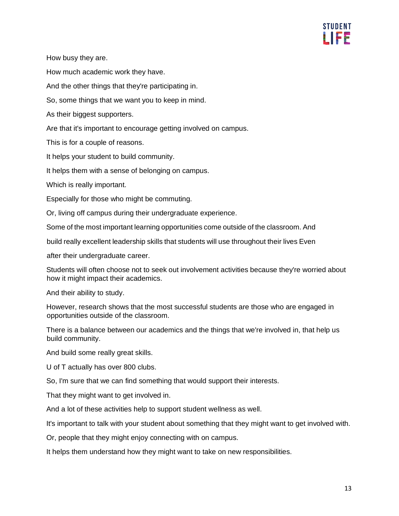

How busy they are.

How much academic work they have.

And the other things that they're participating in.

So, some things that we want you to keep in mind.

As their biggest supporters.

Are that it's important to encourage getting involved on campus.

This is for a couple of reasons.

It helps your student to build community.

It helps them with a sense of belonging on campus.

Which is really important.

Especially for those who might be commuting.

Or, living off campus during their undergraduate experience.

Some of the most important learning opportunities come outside of the classroom. And

build really excellent leadership skills that students will use throughout their lives Even

after their undergraduate career.

Students will often choose not to seek out involvement activities because they're worried about how it might impact their academics.

And their ability to study.

However, research shows that the most successful students are those who are engaged in opportunities outside of the classroom.

There is a balance between our academics and the things that we're involved in, that help us build community.

And build some really great skills.

U of T actually has over 800 clubs.

So, I'm sure that we can find something that would support their interests.

That they might want to get involved in.

And a lot of these activities help to support student wellness as well.

It's important to talk with your student about something that they might want to get involved with.

Or, people that they might enjoy connecting with on campus.

It helps them understand how they might want to take on new responsibilities.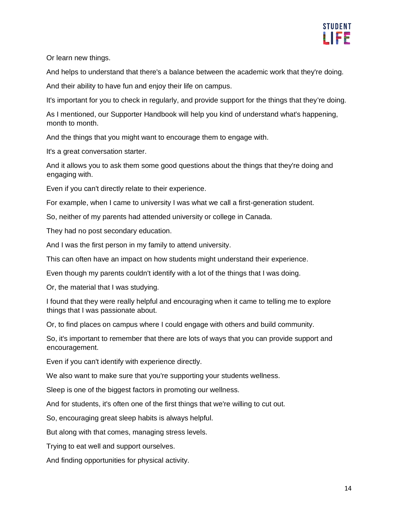

Or learn new things.

And helps to understand that there's a balance between the academic work that they're doing.

And their ability to have fun and enjoy their life on campus.

It's important for you to check in regularly, and provide support for the things that they're doing.

As I mentioned, our Supporter Handbook will help you kind of understand what's happening, month to month.

And the things that you might want to encourage them to engage with.

It's a great conversation starter.

And it allows you to ask them some good questions about the things that they're doing and engaging with.

Even if you can't directly relate to their experience.

For example, when I came to university I was what we call a first-generation student.

So, neither of my parents had attended university or college in Canada.

They had no post secondary education.

And I was the first person in my family to attend university.

This can often have an impact on how students might understand their experience.

Even though my parents couldn't identify with a lot of the things that I was doing.

Or, the material that I was studying.

I found that they were really helpful and encouraging when it came to telling me to explore things that I was passionate about.

Or, to find places on campus where I could engage with others and build community.

So, it's important to remember that there are lots of ways that you can provide support and encouragement.

Even if you can't identify with experience directly.

We also want to make sure that you're supporting your students wellness.

Sleep is one of the biggest factors in promoting our wellness.

And for students, it's often one of the first things that we're willing to cut out.

So, encouraging great sleep habits is always helpful.

But along with that comes, managing stress levels.

Trying to eat well and support ourselves.

And finding opportunities for physical activity.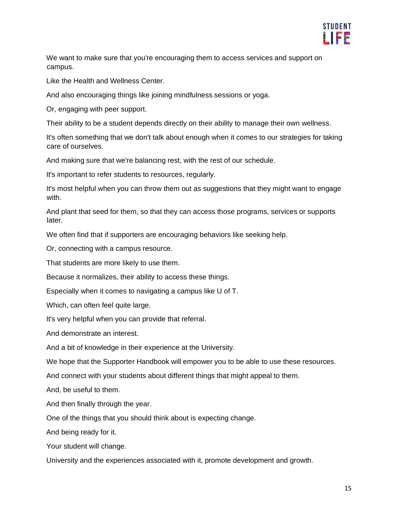

We want to make sure that you're encouraging them to access services and support on campus.

Like the Health and Wellness Center.

And also encouraging things like joining mindfulness sessions or yoga.

Or, engaging with peer support.

Their ability to be a student depends directly on their ability to manage their own wellness.

It's often something that we don't talk about enough when it comes to our strategies for taking care of ourselves.

And making sure that we're balancing rest, with the rest of our schedule.

It's important to refer students to resources, regularly.

It's most helpful when you can throw them out as suggestions that they might want to engage with.

And plant that seed for them, so that they can access those programs, services or supports later.

We often find that if supporters are encouraging behaviors like seeking help.

Or, connecting with a campus resource.

That students are more likely to use them.

Because it normalizes, their ability to access these things.

Especially when it comes to navigating a campus like U of T.

Which, can often feel quite large.

It's very helpful when you can provide that referral.

And demonstrate an interest.

And a bit of knowledge in their experience at the University.

We hope that the Supporter Handbook will empower you to be able to use these resources.

And connect with your students about different things that might appeal to them.

And, be useful to them.

And then finally through the year.

One of the things that you should think about is expecting change.

And being ready for it.

Your student will change.

University and the experiences associated with it, promote development and growth.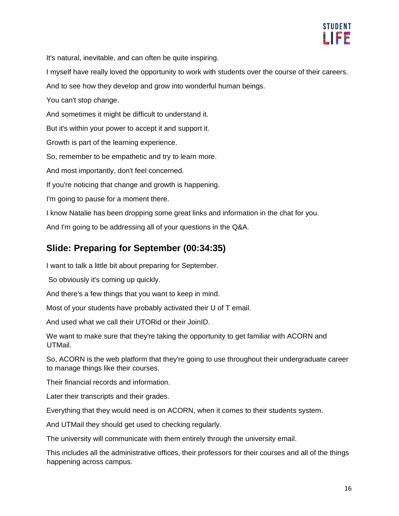

It's natural, inevitable, and can often be quite inspiring.

I myself have really loved the opportunity to work with students over the course of their careers.

And to see how they develop and grow into wonderful human beings.

You can't stop change.

And sometimes it might be difficult to understand it.

But it's within your power to accept it and support it.

Growth is part of the learning experience.

So, remember to be empathetic and try to learn more.

And most importantly, don't feel concerned.

If you're noticing that change and growth is happening.

I'm going to pause for a moment there.

I know Natalie has been dropping some great links and information in the chat for you.

And I'm going to be addressing all of your questions in the Q&A.

## **Slide: Preparing for September (00:34:35)**

I want to talk a little bit about preparing for September.

So obviously it's coming up quickly.

And there's a few things that you want to keep in mind.

Most of your students have probably activated their U of T email.

And used what we call their UTORid or their JoinID.

We want to make sure that they're taking the opportunity to get familiar with ACORN and UTMail.

So, ACORN is the web platform that they're going to use throughout their undergraduate career to manage things like their courses.

Their financial records and information.

Later their transcripts and their grades.

Everything that they would need is on ACORN, when it comes to their students system.

And UTMail they should get used to checking regularly.

The university will communicate with them entirely through the university email.

This includes all the administrative offices, their professors for their courses and all of the things happening across campus.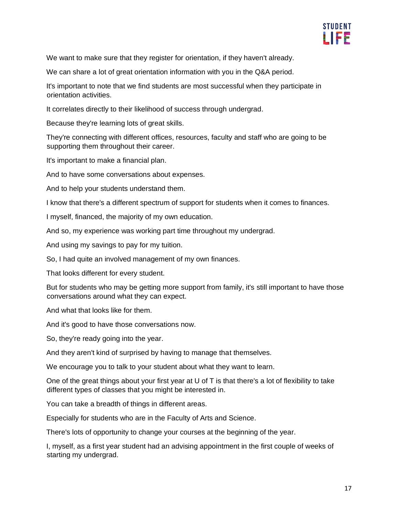

We want to make sure that they register for orientation, if they haven't already.

We can share a lot of great orientation information with you in the Q&A period.

It's important to note that we find students are most successful when they participate in orientation activities.

It correlates directly to their likelihood of success through undergrad.

Because they're learning lots of great skills.

They're connecting with different offices, resources, faculty and staff who are going to be supporting them throughout their career.

It's important to make a financial plan.

And to have some conversations about expenses.

And to help your students understand them.

I know that there's a different spectrum of support for students when it comes to finances.

I myself, financed, the majority of my own education.

And so, my experience was working part time throughout my undergrad.

And using my savings to pay for my tuition.

So, I had quite an involved management of my own finances.

That looks different for every student.

But for students who may be getting more support from family, it's still important to have those conversations around what they can expect.

And what that looks like for them.

And it's good to have those conversations now.

So, they're ready going into the year.

And they aren't kind of surprised by having to manage that themselves.

We encourage you to talk to your student about what they want to learn.

One of the great things about your first year at U of  $T$  is that there's a lot of flexibility to take different types of classes that you might be interested in.

You can take a breadth of things in different areas.

Especially for students who are in the Faculty of Arts and Science.

There's lots of opportunity to change your courses at the beginning of the year.

I, myself, as a first year student had an advising appointment in the first couple of weeks of starting my undergrad.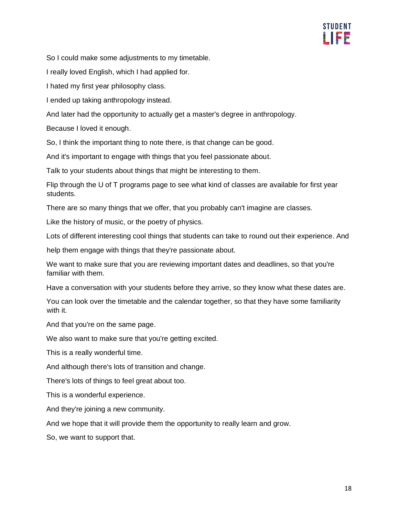

So I could make some adjustments to my timetable.

I really loved English, which I had applied for.

I hated my first year philosophy class.

I ended up taking anthropology instead.

And later had the opportunity to actually get a master's degree in anthropology.

Because I loved it enough.

So, I think the important thing to note there, is that change can be good.

And it's important to engage with things that you feel passionate about.

Talk to your students about things that might be interesting to them.

Flip through the U of T programs page to see what kind of classes are available for first year students.

There are so many things that we offer, that you probably can't imagine are classes.

Like the history of music, or the poetry of physics.

Lots of different interesting cool things that students can take to round out their experience. And

help them engage with things that they're passionate about.

We want to make sure that you are reviewing important dates and deadlines, so that you're familiar with them.

Have a conversation with your students before they arrive, so they know what these dates are.

You can look over the timetable and the calendar together, so that they have some familiarity with it.

And that you're on the same page.

We also want to make sure that you're getting excited.

This is a really wonderful time.

And although there's lots of transition and change.

There's lots of things to feel great about too.

This is a wonderful experience.

And they're joining a new community.

And we hope that it will provide them the opportunity to really learn and grow.

So, we want to support that.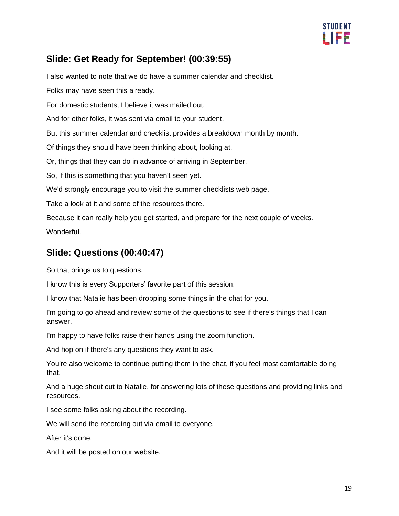

### **Slide: Get Ready for September! (00:39:55)**

I also wanted to note that we do have a summer calendar and checklist.

Folks may have seen this already.

For domestic students, I believe it was mailed out.

And for other folks, it was sent via email to your student.

But this summer calendar and checklist provides a breakdown month by month.

Of things they should have been thinking about, looking at.

Or, things that they can do in advance of arriving in September.

So, if this is something that you haven't seen yet.

We'd strongly encourage you to visit the summer checklists web page.

Take a look at it and some of the resources there.

Because it can really help you get started, and prepare for the next couple of weeks. **Wonderful.** 

## **Slide: Questions (00:40:47)**

So that brings us to questions.

I know this is every Supporters' favorite part of this session.

I know that Natalie has been dropping some things in the chat for you.

I'm going to go ahead and review some of the questions to see if there's things that I can answer.

I'm happy to have folks raise their hands using the zoom function.

And hop on if there's any questions they want to ask.

You're also welcome to continue putting them in the chat, if you feel most comfortable doing that.

And a huge shout out to Natalie, for answering lots of these questions and providing links and resources.

I see some folks asking about the recording.

We will send the recording out via email to everyone.

After it's done.

And it will be posted on our website.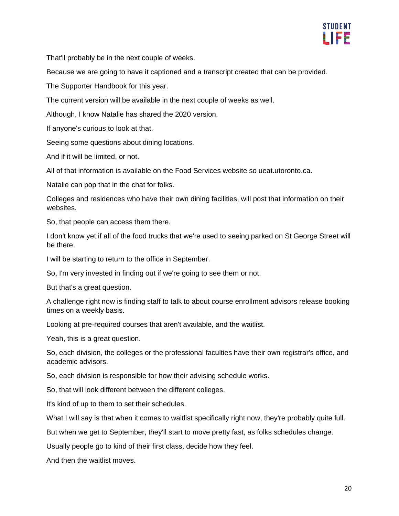

That'll probably be in the next couple of weeks.

Because we are going to have it captioned and a transcript created that can be provided.

The Supporter Handbook for this year.

The current version will be available in the next couple of weeks as well.

Although, I know Natalie has shared the 2020 version.

If anyone's curious to look at that.

Seeing some questions about dining locations.

And if it will be limited, or not.

All of that information is available on the Food Services website so ueat.utoronto.ca.

Natalie can pop that in the chat for folks.

Colleges and residences who have their own dining facilities, will post that information on their websites.

So, that people can access them there.

I don't know yet if all of the food trucks that we're used to seeing parked on St George Street will be there.

I will be starting to return to the office in September.

So, I'm very invested in finding out if we're going to see them or not.

But that's a great question.

A challenge right now is finding staff to talk to about course enrollment advisors release booking times on a weekly basis.

Looking at pre-required courses that aren't available, and the waitlist.

Yeah, this is a great question.

So, each division, the colleges or the professional faculties have their own registrar's office, and academic advisors.

So, each division is responsible for how their advising schedule works.

So, that will look different between the different colleges.

It's kind of up to them to set their schedules.

What I will say is that when it comes to waitlist specifically right now, they're probably quite full.

But when we get to September, they'll start to move pretty fast, as folks schedules change.

Usually people go to kind of their first class, decide how they feel.

And then the waitlist moves.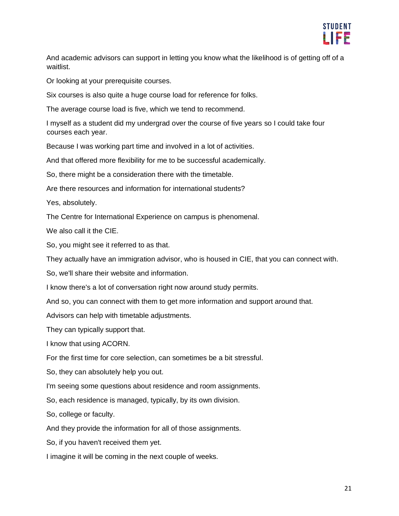

And academic advisors can support in letting you know what the likelihood is of getting off of a waitlist.

Or looking at your prerequisite courses.

Six courses is also quite a huge course load for reference for folks.

The average course load is five, which we tend to recommend.

I myself as a student did my undergrad over the course of five years so I could take four courses each year.

Because I was working part time and involved in a lot of activities.

And that offered more flexibility for me to be successful academically.

So, there might be a consideration there with the timetable.

Are there resources and information for international students?

Yes, absolutely.

The Centre for International Experience on campus is phenomenal.

We also call it the CIE.

So, you might see it referred to as that.

They actually have an immigration advisor, who is housed in CIE, that you can connect with.

So, we'll share their website and information.

I know there's a lot of conversation right now around study permits.

And so, you can connect with them to get more information and support around that.

Advisors can help with timetable adjustments.

They can typically support that.

I know that using ACORN.

For the first time for core selection, can sometimes be a bit stressful.

So, they can absolutely help you out.

I'm seeing some questions about residence and room assignments.

So, each residence is managed, typically, by its own division.

So, college or faculty.

And they provide the information for all of those assignments.

So, if you haven't received them yet.

I imagine it will be coming in the next couple of weeks.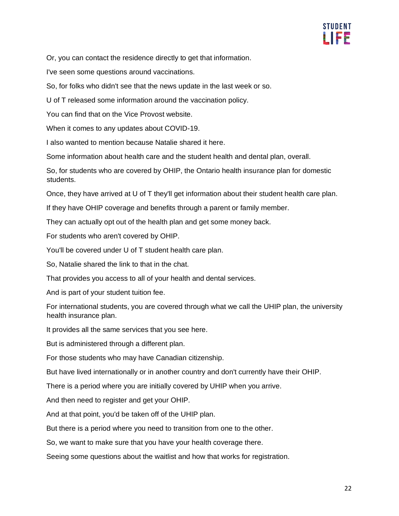

Or, you can contact the residence directly to get that information.

I've seen some questions around vaccinations.

So, for folks who didn't see that the news update in the last week or so.

U of T released some information around the vaccination policy.

You can find that on the Vice Provost website.

When it comes to any updates about COVID-19.

I also wanted to mention because Natalie shared it here.

Some information about health care and the student health and dental plan, overall.

So, for students who are covered by OHIP, the Ontario health insurance plan for domestic students.

Once, they have arrived at U of T they'll get information about their student health care plan.

If they have OHIP coverage and benefits through a parent or family member.

They can actually opt out of the health plan and get some money back.

For students who aren't covered by OHIP.

You'll be covered under U of T student health care plan.

So, Natalie shared the link to that in the chat.

That provides you access to all of your health and dental services.

And is part of your student tuition fee.

For international students, you are covered through what we call the UHIP plan, the university health insurance plan.

It provides all the same services that you see here.

But is administered through a different plan.

For those students who may have Canadian citizenship.

But have lived internationally or in another country and don't currently have their OHIP.

There is a period where you are initially covered by UHIP when you arrive.

And then need to register and get your OHIP.

And at that point, you'd be taken off of the UHIP plan.

But there is a period where you need to transition from one to the other.

So, we want to make sure that you have your health coverage there.

Seeing some questions about the waitlist and how that works for registration.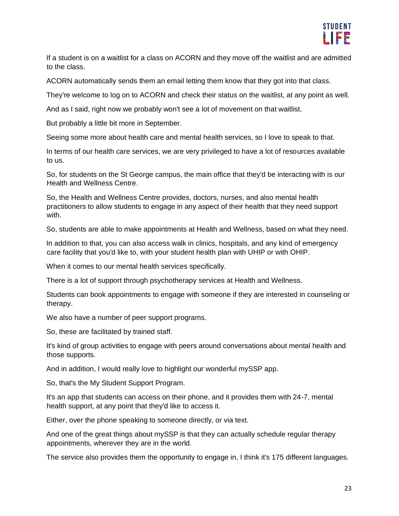

If a student is on a waitlist for a class on ACORN and they move off the waitlist and are admitted to the class.

ACORN automatically sends them an email letting them know that they got into that class.

They're welcome to log on to ACORN and check their status on the waitlist, at any point as well.

And as I said, right now we probably won't see a lot of movement on that waitlist.

But probably a little bit more in September.

Seeing some more about health care and mental health services, so I love to speak to that.

In terms of our health care services, we are very privileged to have a lot of resources available to us.

So, for students on the St George campus, the main office that they'd be interacting with is our Health and Wellness Centre.

So, the Health and Wellness Centre provides, doctors, nurses, and also mental health practitioners to allow students to engage in any aspect of their health that they need support with.

So, students are able to make appointments at Health and Wellness, based on what they need.

In addition to that, you can also access walk in clinics, hospitals, and any kind of emergency care facility that you'd like to, with your student health plan with UHIP or with OHIP.

When it comes to our mental health services specifically.

There is a lot of support through psychotherapy services at Health and Wellness.

Students can book appointments to engage with someone if they are interested in counseling or therapy.

We also have a number of peer support programs.

So, these are facilitated by trained staff.

It's kind of group activities to engage with peers around conversations about mental health and those supports.

And in addition, I would really love to highlight our wonderful mySSP app.

So, that's the My Student Support Program.

It's an app that students can access on their phone, and it provides them with 24-7, mental health support, at any point that they'd like to access it.

Either, over the phone speaking to someone directly, or via text.

And one of the great things about mySSP is that they can actually schedule regular therapy appointments, wherever they are in the world.

The service also provides them the opportunity to engage in, I think it's 175 different languages.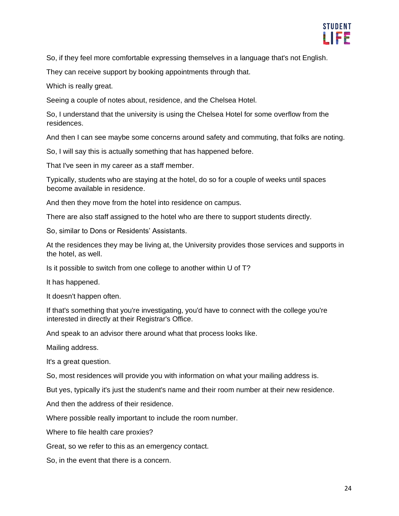

So, if they feel more comfortable expressing themselves in a language that's not English.

They can receive support by booking appointments through that.

Which is really great.

Seeing a couple of notes about, residence, and the Chelsea Hotel.

So, I understand that the university is using the Chelsea Hotel for some overflow from the residences.

And then I can see maybe some concerns around safety and commuting, that folks are noting.

So, I will say this is actually something that has happened before.

That I've seen in my career as a staff member.

Typically, students who are staying at the hotel, do so for a couple of weeks until spaces become available in residence.

And then they move from the hotel into residence on campus.

There are also staff assigned to the hotel who are there to support students directly.

So, similar to Dons or Residents' Assistants.

At the residences they may be living at, the University provides those services and supports in the hotel, as well.

Is it possible to switch from one college to another within U of T?

It has happened.

It doesn't happen often.

If that's something that you're investigating, you'd have to connect with the college you're interested in directly at their Registrar's Office.

And speak to an advisor there around what that process looks like.

Mailing address.

It's a great question.

So, most residences will provide you with information on what your mailing address is.

But yes, typically it's just the student's name and their room number at their new residence.

And then the address of their residence.

Where possible really important to include the room number.

Where to file health care proxies?

Great, so we refer to this as an emergency contact.

So, in the event that there is a concern.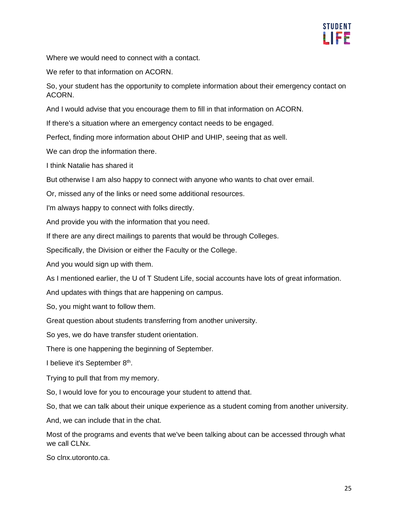

Where we would need to connect with a contact.

We refer to that information on ACORN.

So, your student has the opportunity to complete information about their emergency contact on ACORN.

And I would advise that you encourage them to fill in that information on ACORN.

If there's a situation where an emergency contact needs to be engaged.

Perfect, finding more information about OHIP and UHIP, seeing that as well.

We can drop the information there.

I think Natalie has shared it

But otherwise I am also happy to connect with anyone who wants to chat over email.

Or, missed any of the links or need some additional resources.

I'm always happy to connect with folks directly.

And provide you with the information that you need.

If there are any direct mailings to parents that would be through Colleges.

Specifically, the Division or either the Faculty or the College.

And you would sign up with them.

As I mentioned earlier, the U of T Student Life, social accounts have lots of great information.

And updates with things that are happening on campus.

So, you might want to follow them.

Great question about students transferring from another university.

So yes, we do have transfer student orientation.

There is one happening the beginning of September.

I believe it's September 8<sup>th</sup>.

Trying to pull that from my memory.

So, I would love for you to encourage your student to attend that.

So, that we can talk about their unique experience as a student coming from another university.

And, we can include that in the chat.

Most of the programs and events that we've been talking about can be accessed through what we call CLNx.

So clnx.utoronto.ca.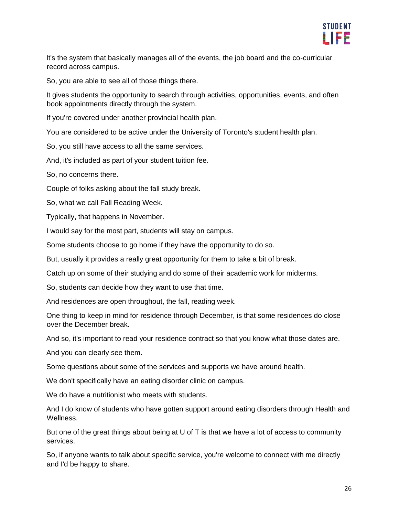

It's the system that basically manages all of the events, the job board and the co-curricular record across campus.

So, you are able to see all of those things there.

It gives students the opportunity to search through activities, opportunities, events, and often book appointments directly through the system.

If you're covered under another provincial health plan.

You are considered to be active under the University of Toronto's student health plan.

So, you still have access to all the same services.

And, it's included as part of your student tuition fee.

So, no concerns there.

Couple of folks asking about the fall study break.

So, what we call Fall Reading Week.

Typically, that happens in November.

I would say for the most part, students will stay on campus.

Some students choose to go home if they have the opportunity to do so.

But, usually it provides a really great opportunity for them to take a bit of break.

Catch up on some of their studying and do some of their academic work for midterms.

So, students can decide how they want to use that time.

And residences are open throughout, the fall, reading week.

One thing to keep in mind for residence through December, is that some residences do close over the December break.

And so, it's important to read your residence contract so that you know what those dates are.

And you can clearly see them.

Some questions about some of the services and supports we have around health.

We don't specifically have an eating disorder clinic on campus.

We do have a nutritionist who meets with students.

And I do know of students who have gotten support around eating disorders through Health and Wellness.

But one of the great things about being at U of T is that we have a lot of access to community services.

So, if anyone wants to talk about specific service, you're welcome to connect with me directly and I'd be happy to share.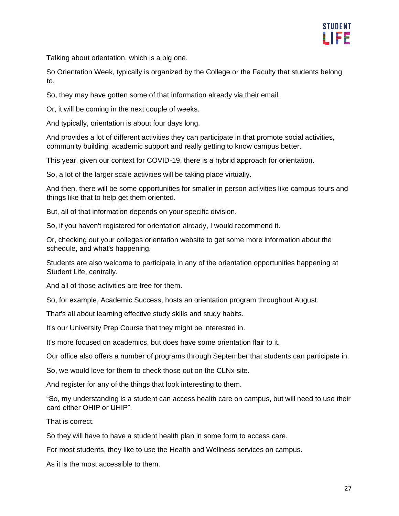

Talking about orientation, which is a big one.

So Orientation Week, typically is organized by the College or the Faculty that students belong to.

So, they may have gotten some of that information already via their email.

Or, it will be coming in the next couple of weeks.

And typically, orientation is about four days long.

And provides a lot of different activities they can participate in that promote social activities, community building, academic support and really getting to know campus better.

This year, given our context for COVID-19, there is a hybrid approach for orientation.

So, a lot of the larger scale activities will be taking place virtually.

And then, there will be some opportunities for smaller in person activities like campus tours and things like that to help get them oriented.

But, all of that information depends on your specific division.

So, if you haven't registered for orientation already, I would recommend it.

Or, checking out your colleges orientation website to get some more information about the schedule, and what's happening.

Students are also welcome to participate in any of the orientation opportunities happening at Student Life, centrally.

And all of those activities are free for them.

So, for example, Academic Success, hosts an orientation program throughout August.

That's all about learning effective study skills and study habits.

It's our University Prep Course that they might be interested in.

It's more focused on academics, but does have some orientation flair to it.

Our office also offers a number of programs through September that students can participate in.

So, we would love for them to check those out on the CLNx site.

And register for any of the things that look interesting to them.

"So, my understanding is a student can access health care on campus, but will need to use their card either OHIP or UHIP".

That is correct.

So they will have to have a student health plan in some form to access care.

For most students, they like to use the Health and Wellness services on campus.

As it is the most accessible to them.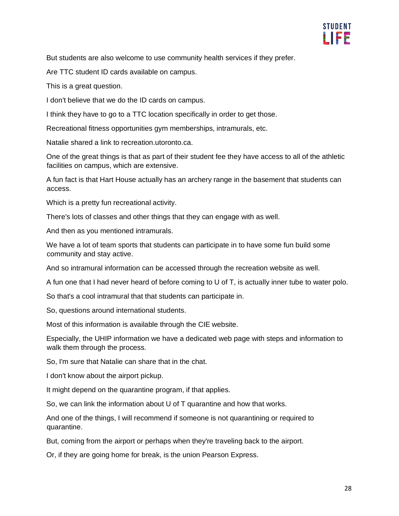

But students are also welcome to use community health services if they prefer.

Are TTC student ID cards available on campus.

This is a great question.

I don't believe that we do the ID cards on campus.

I think they have to go to a TTC location specifically in order to get those.

Recreational fitness opportunities gym memberships, intramurals, etc.

Natalie shared a link to recreation.utoronto.ca.

One of the great things is that as part of their student fee they have access to all of the athletic facilities on campus, which are extensive.

A fun fact is that Hart House actually has an archery range in the basement that students can access.

Which is a pretty fun recreational activity.

There's lots of classes and other things that they can engage with as well.

And then as you mentioned intramurals.

We have a lot of team sports that students can participate in to have some fun build some community and stay active.

And so intramural information can be accessed through the recreation website as well.

A fun one that I had never heard of before coming to U of T, is actually inner tube to water polo.

So that's a cool intramural that that students can participate in.

So, questions around international students.

Most of this information is available through the CIE website.

Especially, the UHIP information we have a dedicated web page with steps and information to walk them through the process.

So, I'm sure that Natalie can share that in the chat.

I don't know about the airport pickup.

It might depend on the quarantine program, if that applies.

So, we can link the information about U of T quarantine and how that works.

And one of the things, I will recommend if someone is not quarantining or required to quarantine.

But, coming from the airport or perhaps when they're traveling back to the airport.

Or, if they are going home for break, is the union Pearson Express.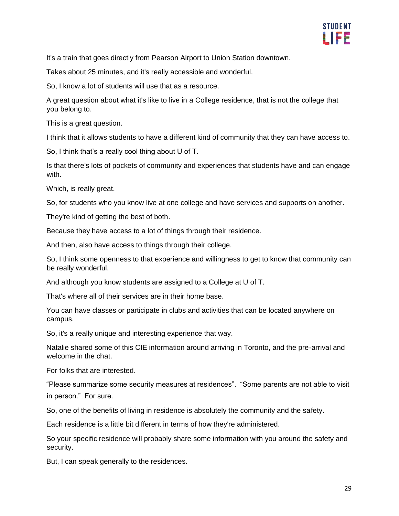

It's a train that goes directly from Pearson Airport to Union Station downtown.

Takes about 25 minutes, and it's really accessible and wonderful.

So, I know a lot of students will use that as a resource.

A great question about what it's like to live in a College residence, that is not the college that you belong to.

This is a great question.

I think that it allows students to have a different kind of community that they can have access to.

So, I think that's a really cool thing about U of T.

Is that there's lots of pockets of community and experiences that students have and can engage with.

Which, is really great.

So, for students who you know live at one college and have services and supports on another.

They're kind of getting the best of both.

Because they have access to a lot of things through their residence.

And then, also have access to things through their college.

So, I think some openness to that experience and willingness to get to know that community can be really wonderful.

And although you know students are assigned to a College at U of T.

That's where all of their services are in their home base.

You can have classes or participate in clubs and activities that can be located anywhere on campus.

So, it's a really unique and interesting experience that way.

Natalie shared some of this CIE information around arriving in Toronto, and the pre-arrival and welcome in the chat.

For folks that are interested.

"Please summarize some security measures at residences". "Some parents are not able to visit in person." For sure.

So, one of the benefits of living in residence is absolutely the community and the safety.

Each residence is a little bit different in terms of how they're administered.

So your specific residence will probably share some information with you around the safety and security.

But, I can speak generally to the residences.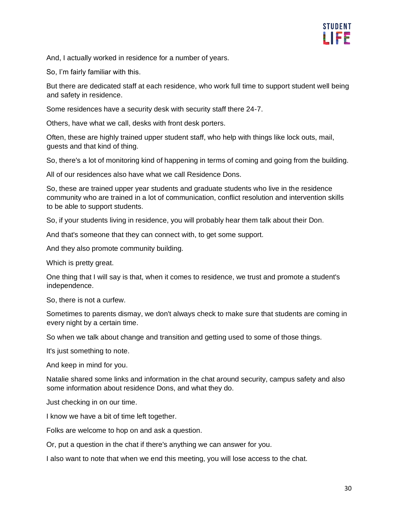

And, I actually worked in residence for a number of years.

So, I'm fairly familiar with this.

But there are dedicated staff at each residence, who work full time to support student well being and safety in residence.

Some residences have a security desk with security staff there 24-7.

Others, have what we call, desks with front desk porters.

Often, these are highly trained upper student staff, who help with things like lock outs, mail, guests and that kind of thing.

So, there's a lot of monitoring kind of happening in terms of coming and going from the building.

All of our residences also have what we call Residence Dons.

So, these are trained upper year students and graduate students who live in the residence community who are trained in a lot of communication, conflict resolution and intervention skills to be able to support students.

So, if your students living in residence, you will probably hear them talk about their Don.

And that's someone that they can connect with, to get some support.

And they also promote community building.

Which is pretty great.

One thing that I will say is that, when it comes to residence, we trust and promote a student's independence.

So, there is not a curfew.

Sometimes to parents dismay, we don't always check to make sure that students are coming in every night by a certain time.

So when we talk about change and transition and getting used to some of those things.

It's just something to note.

And keep in mind for you.

Natalie shared some links and information in the chat around security, campus safety and also some information about residence Dons, and what they do.

Just checking in on our time.

I know we have a bit of time left together.

Folks are welcome to hop on and ask a question.

Or, put a question in the chat if there's anything we can answer for you.

I also want to note that when we end this meeting, you will lose access to the chat.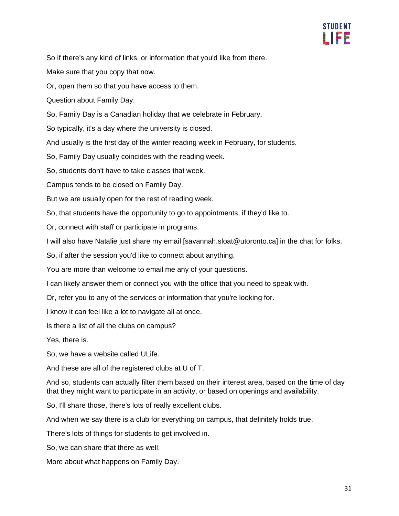

So if there's any kind of links, or information that you'd like from there.

Make sure that you copy that now.

Or, open them so that you have access to them.

Question about Family Day.

So, Family Day is a Canadian holiday that we celebrate in February.

So typically, it's a day where the university is closed.

And usually is the first day of the winter reading week in February, for students.

So, Family Day usually coincides with the reading week.

So, students don't have to take classes that week.

Campus tends to be closed on Family Day.

But we are usually open for the rest of reading week.

So, that students have the opportunity to go to appointments, if they'd like to.

Or, connect with staff or participate in programs.

I will also have Natalie just share my email [savannah.sloat@utoronto.ca] in the chat for folks.

So, if after the session you'd like to connect about anything.

You are more than welcome to email me any of your questions.

I can likely answer them or connect you with the office that you need to speak with.

Or, refer you to any of the services or information that you're looking for.

I know it can feel like a lot to navigate all at once.

Is there a list of all the clubs on campus?

Yes, there is.

So, we have a website called ULife.

And these are all of the registered clubs at U of T.

And so, students can actually filter them based on their interest area, based on the time of day that they might want to participate in an activity, or based on openings and availability.

So, I'll share those, there's lots of really excellent clubs.

And when we say there is a club for everything on campus, that definitely holds true.

There's lots of things for students to get involved in.

So, we can share that there as well.

More about what happens on Family Day.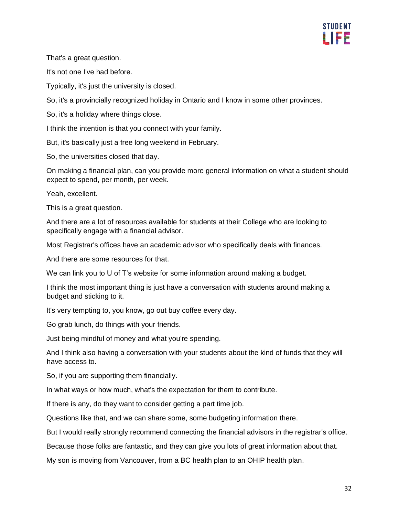

That's a great question.

It's not one I've had before.

Typically, it's just the university is closed.

So, it's a provincially recognized holiday in Ontario and I know in some other provinces.

So, it's a holiday where things close.

I think the intention is that you connect with your family.

But, it's basically just a free long weekend in February.

So, the universities closed that day.

On making a financial plan, can you provide more general information on what a student should expect to spend, per month, per week.

Yeah, excellent.

This is a great question.

And there are a lot of resources available for students at their College who are looking to specifically engage with a financial advisor.

Most Registrar's offices have an academic advisor who specifically deals with finances.

And there are some resources for that.

We can link you to U of T's website for some information around making a budget.

I think the most important thing is just have a conversation with students around making a budget and sticking to it.

It's very tempting to, you know, go out buy coffee every day.

Go grab lunch, do things with your friends.

Just being mindful of money and what you're spending.

And I think also having a conversation with your students about the kind of funds that they will have access to.

So, if you are supporting them financially.

In what ways or how much, what's the expectation for them to contribute.

If there is any, do they want to consider getting a part time job.

Questions like that, and we can share some, some budgeting information there.

But I would really strongly recommend connecting the financial advisors in the registrar's office.

Because those folks are fantastic, and they can give you lots of great information about that.

My son is moving from Vancouver, from a BC health plan to an OHIP health plan.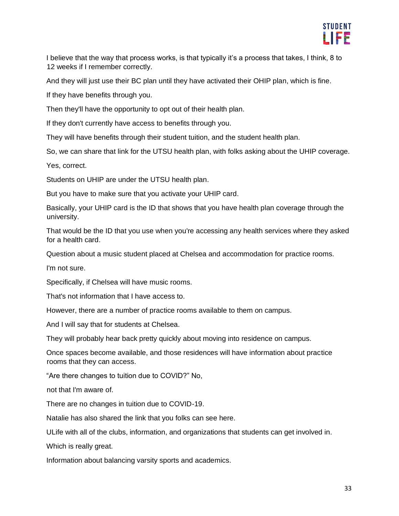

I believe that the way that process works, is that typically it's a process that takes, I think, 8 to 12 weeks if I remember correctly.

And they will just use their BC plan until they have activated their OHIP plan, which is fine.

If they have benefits through you.

Then they'll have the opportunity to opt out of their health plan.

If they don't currently have access to benefits through you.

They will have benefits through their student tuition, and the student health plan.

So, we can share that link for the UTSU health plan, with folks asking about the UHIP coverage.

Yes, correct.

Students on UHIP are under the UTSU health plan.

But you have to make sure that you activate your UHIP card.

Basically, your UHIP card is the ID that shows that you have health plan coverage through the university.

That would be the ID that you use when you're accessing any health services where they asked for a health card.

Question about a music student placed at Chelsea and accommodation for practice rooms.

I'm not sure.

Specifically, if Chelsea will have music rooms.

That's not information that I have access to.

However, there are a number of practice rooms available to them on campus.

And I will say that for students at Chelsea.

They will probably hear back pretty quickly about moving into residence on campus.

Once spaces become available, and those residences will have information about practice rooms that they can access.

"Are there changes to tuition due to COVID?" No,

not that I'm aware of.

There are no changes in tuition due to COVID-19.

Natalie has also shared the link that you folks can see here.

ULife with all of the clubs, information, and organizations that students can get involved in.

Which is really great.

Information about balancing varsity sports and academics.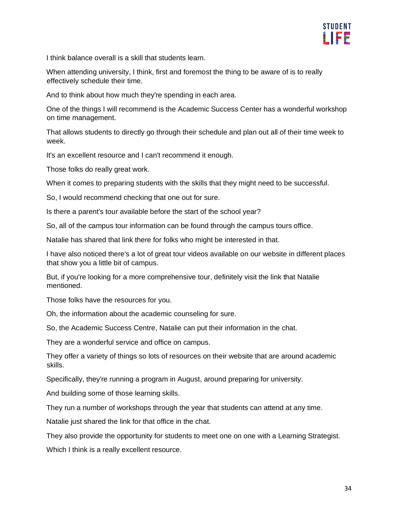

I think balance overall is a skill that students learn.

When attending university, I think, first and foremost the thing to be aware of is to really effectively schedule their time.

And to think about how much they're spending in each area.

One of the things I will recommend is the Academic Success Center has a wonderful workshop on time management.

That allows students to directly go through their schedule and plan out all of their time week to week.

It's an excellent resource and I can't recommend it enough.

Those folks do really great work.

When it comes to preparing students with the skills that they might need to be successful.

So, I would recommend checking that one out for sure.

Is there a parent's tour available before the start of the school year?

So, all of the campus tour information can be found through the campus tours office.

Natalie has shared that link there for folks who might be interested in that.

I have also noticed there's a lot of great tour videos available on our website in different places that show you a little bit of campus.

But, if you're looking for a more comprehensive tour, definitely visit the link that Natalie mentioned.

Those folks have the resources for you.

Oh, the information about the academic counseling for sure.

So, the Academic Success Centre, Natalie can put their information in the chat.

They are a wonderful service and office on campus.

They offer a variety of things so lots of resources on their website that are around academic skills.

Specifically, they're running a program in August, around preparing for university.

And building some of those learning skills.

They run a number of workshops through the year that students can attend at any time.

Natalie just shared the link for that office in the chat.

They also provide the opportunity for students to meet one on one with a Learning Strategist.

Which I think is a really excellent resource.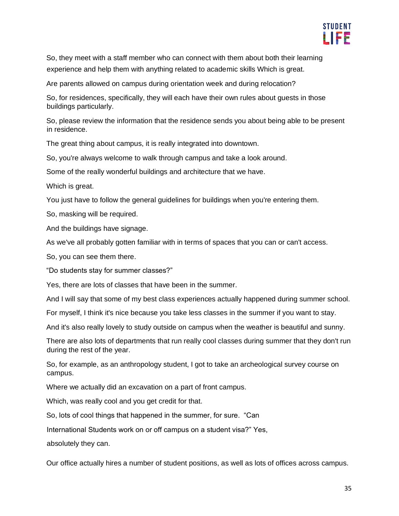

So, they meet with a staff member who can connect with them about both their learning experience and help them with anything related to academic skills Which is great.

Are parents allowed on campus during orientation week and during relocation?

So, for residences, specifically, they will each have their own rules about guests in those buildings particularly.

So, please review the information that the residence sends you about being able to be present in residence.

The great thing about campus, it is really integrated into downtown.

So, you're always welcome to walk through campus and take a look around.

Some of the really wonderful buildings and architecture that we have.

Which is great.

You just have to follow the general guidelines for buildings when you're entering them.

So, masking will be required.

And the buildings have signage.

As we've all probably gotten familiar with in terms of spaces that you can or can't access.

So, you can see them there.

"Do students stay for summer classes?"

Yes, there are lots of classes that have been in the summer.

And I will say that some of my best class experiences actually happened during summer school.

For myself, I think it's nice because you take less classes in the summer if you want to stay.

And it's also really lovely to study outside on campus when the weather is beautiful and sunny.

There are also lots of departments that run really cool classes during summer that they don't run during the rest of the year.

So, for example, as an anthropology student, I got to take an archeological survey course on campus.

Where we actually did an excavation on a part of front campus.

Which, was really cool and you get credit for that.

So, lots of cool things that happened in the summer, for sure. "Can

International Students work on or off campus on a student visa?" Yes,

absolutely they can.

Our office actually hires a number of student positions, as well as lots of offices across campus.